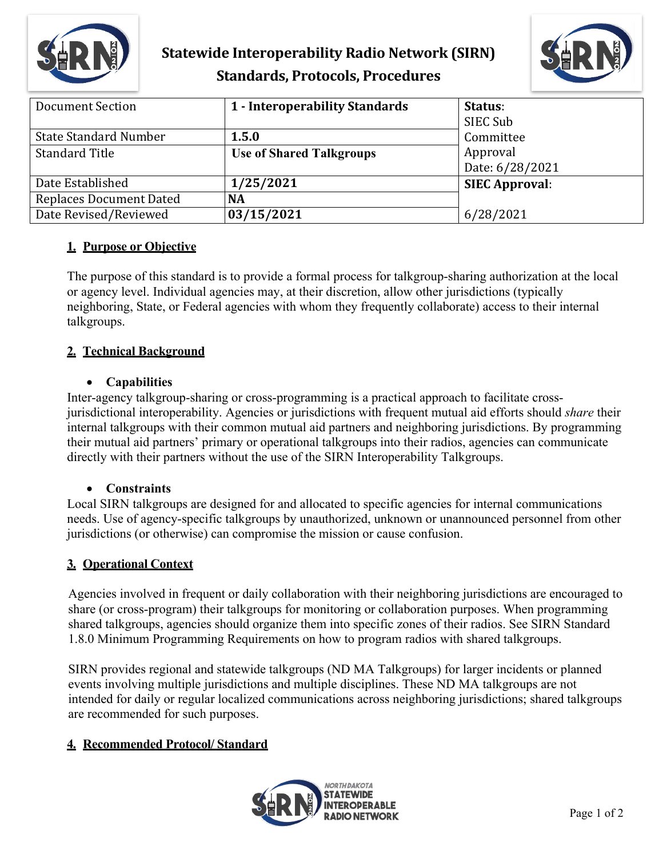

# **Statewide Interoperability Radio Network (SIRN) Standards, Protocols, Procedures**



| <b>Document Section</b>      | 1 - Interoperability Standards  | Status:<br>SIEC Sub   |
|------------------------------|---------------------------------|-----------------------|
| <b>State Standard Number</b> | 1.5.0                           | Committee             |
| <b>Standard Title</b>        | <b>Use of Shared Talkgroups</b> | Approval              |
|                              |                                 | Date: 6/28/2021       |
| Date Established             | 1/25/2021                       | <b>SIEC Approval:</b> |
| Replaces Document Dated      | <b>NA</b>                       |                       |
| Date Revised/Reviewed        | 03/15/2021                      | 6/28/2021             |

### **1. Purpose or Objective**

The purpose of this standard is to provide a formal process for talkgroup-sharing authorization at the local or agency level. Individual agencies may, at their discretion, allow other jurisdictions (typically neighboring, State, or Federal agencies with whom they frequently collaborate) access to their internal talkgroups.

## **2. Technical Background**

#### • **Capabilities**

Inter-agency talkgroup-sharing or cross-programming is a practical approach to facilitate crossjurisdictional interoperability. Agencies or jurisdictions with frequent mutual aid efforts should *share* their internal talkgroups with their common mutual aid partners and neighboring jurisdictions. By programming their mutual aid partners' primary or operational talkgroups into their radios, agencies can communicate directly with their partners without the use of the SIRN Interoperability Talkgroups.

### • **Constraints**

Local SIRN talkgroups are designed for and allocated to specific agencies for internal communications needs. Use of agency-specific talkgroups by unauthorized, unknown or unannounced personnel from other jurisdictions (or otherwise) can compromise the mission or cause confusion.

### **3. Operational Context**

Agencies involved in frequent or daily collaboration with their neighboring jurisdictions are encouraged to share (or cross-program) their talkgroups for monitoring or collaboration purposes. When programming shared talkgroups, agencies should organize them into specific zones of their radios. See SIRN Standard 1.8.0 Minimum Programming Requirements on how to program radios with shared talkgroups.

SIRN provides regional and statewide talkgroups (ND MA Talkgroups) for larger incidents or planned events involving multiple jurisdictions and multiple disciplines. These ND MA talkgroups are not intended for daily or regular localized communications across neighboring jurisdictions; shared talkgroups are recommended for such purposes.

### **4. Recommended Protocol/ Standard**